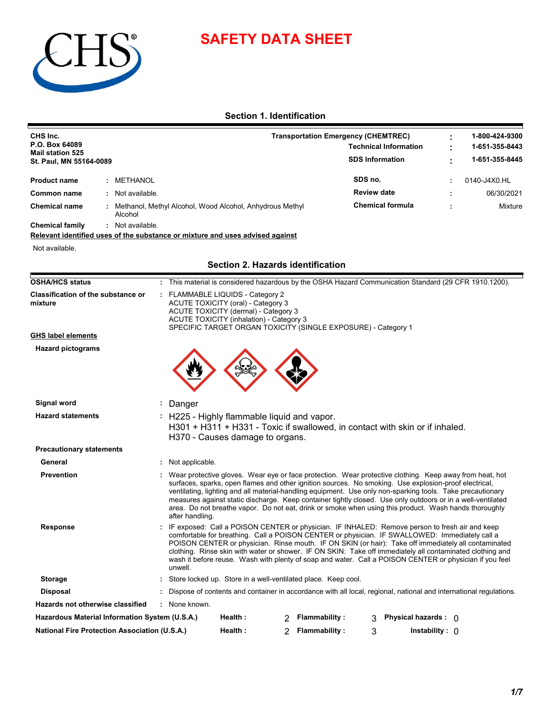



#### **Section 1. Identification**

| CHS Inc.<br>P.O. Box 64089<br><b>Mail station 525</b><br>St. Paul, MN 55164-0089 |  |                                                                     | <b>Transportation Emergency (CHEMTREC)</b> |  |                |
|----------------------------------------------------------------------------------|--|---------------------------------------------------------------------|--------------------------------------------|--|----------------|
|                                                                                  |  |                                                                     | <b>Technical Information</b>               |  | 1-651-355-8443 |
|                                                                                  |  |                                                                     | <b>SDS Information</b>                     |  | 1-651-355-8445 |
| <b>Product name</b>                                                              |  | : METHANOL                                                          | SDS no.                                    |  | 0140-J4X0.HL   |
| Common name                                                                      |  | Not available.                                                      | <b>Review date</b>                         |  | 06/30/2021     |
| <b>Chemical name</b>                                                             |  | Methanol, Methyl Alcohol, Wood Alcohol, Anhydrous Methyl<br>Alcohol | <b>Chemical formula</b>                    |  | Mixture        |
| <b>Chemical family</b>                                                           |  | Not available.                                                      |                                            |  |                |

**Relevant identified uses of the substance or mixture and uses advised against**

Not available.

### FLAMMABLE LIQUIDS - Category 2 **:** ACUTE TOXICITY (oral) - Category 3 ACUTE TOXICITY (dermal) - Category 3 ACUTE TOXICITY (inhalation) - Category 3 SPECIFIC TARGET ORGAN TOXICITY (SINGLE EXPOSURE) - Category 1 **Classification of the substance or mixture Signal word :** Danger **Hazard statements : Hazard pictograms Precautionary statements GHS label elements OSHA/HCS status :** This material is considered hazardous by the OSHA Hazard Communication Standard (29 CFR 1910.1200). **General :** Not applicable. **Hazardous Material Information System (U.S.A.) National Fire Protection Association (U.S.A.) Health : Flammability : Physical hazards :** 2 3 0 **Health :** 2 **Flammability :** 3 **Instability :** 0 **Prevention :** Wear protective gloves. Wear eye or face protection. Wear protective clothing. Keep away from heat, hot surfaces, sparks, open flames and other ignition sources. No smoking. Use explosion-proof electrical, ventilating, lighting and all material-handling equipment. Use only non-sparking tools. Take precautionary measures against static discharge. Keep container tightly closed. Use only outdoors or in a well-ventilated area. Do not breathe vapor. Do not eat, drink or smoke when using this product. Wash hands thoroughly after handling. **Response :** IF exposed: Call a POISON CENTER or physician. IF INHALED: Remove person to fresh air and keep comfortable for breathing. Call a POISON CENTER or physician. IF SWALLOWED: Immediately call a POISON CENTER or physician. Rinse mouth. IF ON SKIN (or hair): Take off immediately all contaminated clothing. Rinse skin with water or shower. IF ON SKIN: Take off immediately all contaminated clothing and wash it before reuse. Wash with plenty of soap and water. Call a POISON CENTER or physician if you feel unwell. **Storage :** Store locked up. Store in a well-ventilated place. Keep cool. **Disposal :** Dispose of contents and container in accordance with all local, regional, national and international regulations. **:** None known. H225 - Highly flammable liquid and vapor. H301 + H311 + H331 - Toxic if swallowed, in contact with skin or if inhaled. H370 - Causes damage to organs. **Hazards not otherwise classified**

#### **Section 2. Hazards identification**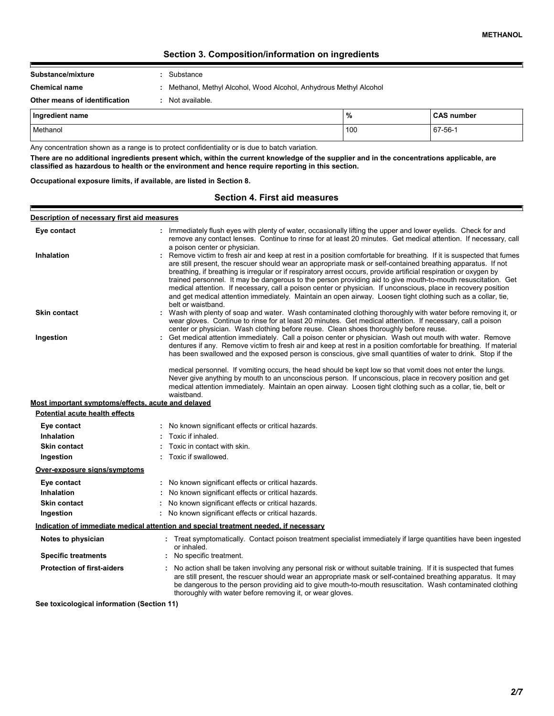### **Section 3. Composition/information on ingredients**

| Substance/mixture | : Substance |
|-------------------|-------------|
|                   |             |

E

**Chemical name :** Methanol, Methyl Alcohol, Wood Alcohol, Anhydrous Methyl Alcohol

### **Other means of identification :** Not available.

| Ingredient name | %   | <b>CAS</b><br>number ا |
|-----------------|-----|------------------------|
| Methanol        | 100 | 67-56-1                |

Any concentration shown as a range is to protect confidentiality or is due to batch variation.

**There are no additional ingredients present which, within the current knowledge of the supplier and in the concentrations applicable, are classified as hazardous to health or the environment and hence require reporting in this section.**

**Occupational exposure limits, if available, are listed in Section 8.**

### **Section 4. First aid measures**

#### **Description of necessary first aid measures**

| Eye contact                                        | : Immediately flush eyes with plenty of water, occasionally lifting the upper and lower eyelids. Check for and<br>remove any contact lenses. Continue to rinse for at least 20 minutes. Get medical attention. If necessary, call<br>a poison center or physician.                                                                                                                                                                                                                                                                                                                                                                                                                                                              |
|----------------------------------------------------|---------------------------------------------------------------------------------------------------------------------------------------------------------------------------------------------------------------------------------------------------------------------------------------------------------------------------------------------------------------------------------------------------------------------------------------------------------------------------------------------------------------------------------------------------------------------------------------------------------------------------------------------------------------------------------------------------------------------------------|
| <b>Inhalation</b>                                  | Remove victim to fresh air and keep at rest in a position comfortable for breathing. If it is suspected that fumes<br>are still present, the rescuer should wear an appropriate mask or self-contained breathing apparatus. If not<br>breathing, if breathing is irregular or if respiratory arrest occurs, provide artificial respiration or oxygen by<br>trained personnel. It may be dangerous to the person providing aid to give mouth-to-mouth resuscitation. Get<br>medical attention. If necessary, call a poison center or physician. If unconscious, place in recovery position<br>and get medical attention immediately. Maintain an open airway. Loosen tight clothing such as a collar, tie,<br>belt or waistband. |
| <b>Skin contact</b>                                | Wash with plenty of soap and water. Wash contaminated clothing thoroughly with water before removing it, or<br>wear gloves. Continue to rinse for at least 20 minutes. Get medical attention. If necessary, call a poison<br>center or physician. Wash clothing before reuse. Clean shoes thoroughly before reuse.                                                                                                                                                                                                                                                                                                                                                                                                              |
| Ingestion                                          | Get medical attention immediately. Call a poison center or physician. Wash out mouth with water. Remove<br>dentures if any. Remove victim to fresh air and keep at rest in a position comfortable for breathing. If material<br>has been swallowed and the exposed person is conscious, give small quantities of water to drink. Stop if the                                                                                                                                                                                                                                                                                                                                                                                    |
|                                                    | medical personnel. If vomiting occurs, the head should be kept low so that vomit does not enter the lungs.<br>Never give anything by mouth to an unconscious person. If unconscious, place in recovery position and get<br>medical attention immediately. Maintain an open airway. Loosen tight clothing such as a collar, tie, belt or<br>waistband.                                                                                                                                                                                                                                                                                                                                                                           |
| Most important symptoms/effects, acute and delayed |                                                                                                                                                                                                                                                                                                                                                                                                                                                                                                                                                                                                                                                                                                                                 |
| Potential acute health effects                     |                                                                                                                                                                                                                                                                                                                                                                                                                                                                                                                                                                                                                                                                                                                                 |
| Eye contact                                        | : No known significant effects or critical hazards.                                                                                                                                                                                                                                                                                                                                                                                                                                                                                                                                                                                                                                                                             |
| <b>Inhalation</b>                                  | Toxic if inhaled.                                                                                                                                                                                                                                                                                                                                                                                                                                                                                                                                                                                                                                                                                                               |
| <b>Skin contact</b>                                | Toxic in contact with skin.                                                                                                                                                                                                                                                                                                                                                                                                                                                                                                                                                                                                                                                                                                     |
| Ingestion                                          | : Toxic if swallowed.                                                                                                                                                                                                                                                                                                                                                                                                                                                                                                                                                                                                                                                                                                           |
| Over-exposure signs/symptoms                       |                                                                                                                                                                                                                                                                                                                                                                                                                                                                                                                                                                                                                                                                                                                                 |
| Eye contact                                        | : No known significant effects or critical hazards.                                                                                                                                                                                                                                                                                                                                                                                                                                                                                                                                                                                                                                                                             |
| Inhalation                                         | : No known significant effects or critical hazards.                                                                                                                                                                                                                                                                                                                                                                                                                                                                                                                                                                                                                                                                             |
| <b>Skin contact</b>                                | : No known significant effects or critical hazards.                                                                                                                                                                                                                                                                                                                                                                                                                                                                                                                                                                                                                                                                             |
| Ingestion                                          | : No known significant effects or critical hazards.                                                                                                                                                                                                                                                                                                                                                                                                                                                                                                                                                                                                                                                                             |
|                                                    | Indication of immediate medical attention and special treatment needed, if necessary                                                                                                                                                                                                                                                                                                                                                                                                                                                                                                                                                                                                                                            |
| Notes to physician                                 | : Treat symptomatically. Contact poison treatment specialist immediately if large quantities have been ingested<br>or inhaled.                                                                                                                                                                                                                                                                                                                                                                                                                                                                                                                                                                                                  |
| <b>Specific treatments</b>                         | : No specific treatment.                                                                                                                                                                                                                                                                                                                                                                                                                                                                                                                                                                                                                                                                                                        |
| <b>Protection of first-aiders</b>                  | : No action shall be taken involving any personal risk or without suitable training. If it is suspected that fumes<br>are still present, the rescuer should wear an appropriate mask or self-contained breathing apparatus. It may<br>be dangerous to the person providing aid to give mouth-to-mouth resuscitation. Wash contaminated clothing<br>thoroughly with water before removing it, or wear gloves.                                                                                                                                                                                                                                                                                                                    |
| See toxicological information (Section 11)         |                                                                                                                                                                                                                                                                                                                                                                                                                                                                                                                                                                                                                                                                                                                                 |
|                                                    |                                                                                                                                                                                                                                                                                                                                                                                                                                                                                                                                                                                                                                                                                                                                 |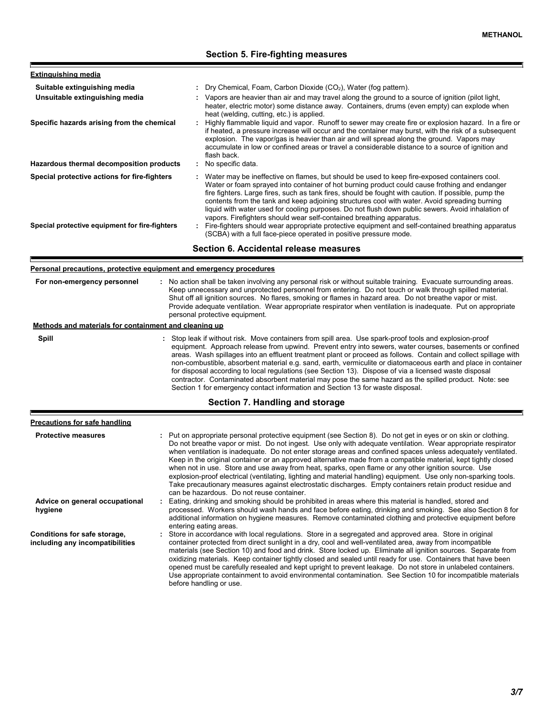# **Section 5. Fire-fighting measures**

E

F

| <b>Extinguishing media</b>                                                             |                                                                                                                                                                                                                                                                                                                                                                                                                                                                                                                                                                                       |
|----------------------------------------------------------------------------------------|---------------------------------------------------------------------------------------------------------------------------------------------------------------------------------------------------------------------------------------------------------------------------------------------------------------------------------------------------------------------------------------------------------------------------------------------------------------------------------------------------------------------------------------------------------------------------------------|
| Suitable extinguishing media                                                           | : Dry Chemical, Foam, Carbon Dioxide $(CO2)$ , Water (fog pattern).                                                                                                                                                                                                                                                                                                                                                                                                                                                                                                                   |
| Unsuitable extinguishing media                                                         | : Vapors are heavier than air and may travel along the ground to a source of ignition (pilot light,<br>heater, electric motor) some distance away. Containers, drums (even empty) can explode when<br>heat (welding, cutting, etc.) is applied.                                                                                                                                                                                                                                                                                                                                       |
| Specific hazards arising from the chemical<br>Hazardous thermal decomposition products | : Highly flammable liguid and vapor. Runoff to sewer may create fire or explosion hazard. In a fire or<br>if heated, a pressure increase will occur and the container may burst, with the risk of a subsequent<br>explosion. The vapor/gas is heavier than air and will spread along the ground. Vapors may<br>accumulate in low or confined areas or travel a considerable distance to a source of ignition and<br>flash back.<br>: No specific data.                                                                                                                                |
| Special protective actions for fire-fighters                                           | : Water may be ineffective on flames, but should be used to keep fire-exposed containers cool.<br>Water or foam sprayed into container of hot burning product could cause frothing and endanger<br>fire fighters. Large fires, such as tank fires, should be fought with caution. If possible, pump the<br>contents from the tank and keep adjoining structures cool with water. Avoid spreading burning<br>liquid with water used for cooling purposes. Do not flush down public sewers. Avoid inhalation of<br>vapors. Firefighters should wear self-contained breathing apparatus. |
| Special protective equipment for fire-fighters                                         | Fire-fighters should wear appropriate protective equipment and self-contained breathing apparatus<br>(SCBA) with a full face-piece operated in positive pressure mode.                                                                                                                                                                                                                                                                                                                                                                                                                |
|                                                                                        | Section 6. Accidental release measures                                                                                                                                                                                                                                                                                                                                                                                                                                                                                                                                                |

| Personal precautions, protective equipment and emergency procedures |                                                                                                                                                                                                                                                                                                                                                                                                                                                                                                                                                                                                                                                                                                                                                                                                                                                       |
|---------------------------------------------------------------------|-------------------------------------------------------------------------------------------------------------------------------------------------------------------------------------------------------------------------------------------------------------------------------------------------------------------------------------------------------------------------------------------------------------------------------------------------------------------------------------------------------------------------------------------------------------------------------------------------------------------------------------------------------------------------------------------------------------------------------------------------------------------------------------------------------------------------------------------------------|
| For non-emergency personnel                                         | : No action shall be taken involving any personal risk or without suitable training. Evacuate surrounding areas.<br>Keep unnecessary and unprotected personnel from entering. Do not touch or walk through spilled material.<br>Shut off all ignition sources. No flares, smoking or flames in hazard area. Do not breathe vapor or mist.<br>Provide adequate ventilation. Wear appropriate respirator when ventilation is inadequate. Put on appropriate<br>personal protective equipment.                                                                                                                                                                                                                                                                                                                                                           |
| Methods and materials for containment and cleaning up               |                                                                                                                                                                                                                                                                                                                                                                                                                                                                                                                                                                                                                                                                                                                                                                                                                                                       |
| Spill                                                               | : Stop leak if without risk. Move containers from spill area. Use spark-proof tools and explosion-proof<br>equipment. Approach release from upwind. Prevent entry into sewers, water courses, basements or confined<br>areas. Wash spillages into an effluent treatment plant or proceed as follows. Contain and collect spillage with<br>non-combustible, absorbent material e.g. sand, earth, vermiculite or diatomaceous earth and place in container<br>for disposal according to local regulations (see Section 13). Dispose of via a licensed waste disposal<br>contractor. Contaminated absorbent material may pose the same hazard as the spilled product. Note: see<br>Section 1 for emergency contact information and Section 13 for waste disposal.                                                                                        |
|                                                                     | Section 7. Handling and storage                                                                                                                                                                                                                                                                                                                                                                                                                                                                                                                                                                                                                                                                                                                                                                                                                       |
| <b>Precautions for safe handling</b>                                |                                                                                                                                                                                                                                                                                                                                                                                                                                                                                                                                                                                                                                                                                                                                                                                                                                                       |
| <b>Protective measures</b>                                          | : Put on appropriate personal protective equipment (see Section 8). Do not get in eyes or on skin or clothing.<br>Do not breathe vapor or mist. Do not ingest. Use only with adequate ventilation. Wear appropriate respirator<br>when ventilation is inadequate. Do not enter storage areas and confined spaces unless adequately ventilated.<br>Keep in the original container or an approved alternative made from a compatible material, kept tightly closed<br>when not in use. Store and use away from heat, sparks, open flame or any other ignition source. Use<br>explosion-proof electrical (ventilating, lighting and material handling) equipment. Use only non-sparking tools.<br>Take precautionary measures against electrostatic discharges. Empty containers retain product residue and<br>can be hazardous. Do not reuse container. |
| Advice on general occupational<br>hygiene                           | Eating, drinking and smoking should be prohibited in areas where this material is handled, stored and<br>processed. Workers should wash hands and face before eating, drinking and smoking. See also Section 8 for<br>additional information on hygiene measures. Remove contaminated clothing and protective equipment before<br>entering eating areas.                                                                                                                                                                                                                                                                                                                                                                                                                                                                                              |
| Conditions for safe storage,<br>including any incompatibilities     | Store in accordance with local regulations. Store in a segregated and approved area. Store in original<br>container protected from direct sunlight in a dry, cool and well-ventilated area, away from incompatible<br>materials (see Section 10) and food and drink. Store locked up. Eliminate all ignition sources. Separate from<br>oxidizing materials. Keep container tightly closed and sealed until ready for use. Containers that have been<br>opened must be carefully resealed and kept upright to prevent leakage. Do not store in unlabeled containers.<br>Use appropriate containment to avoid environmental contamination. See Section 10 for incompatible materials<br>before handling or use.                                                                                                                                         |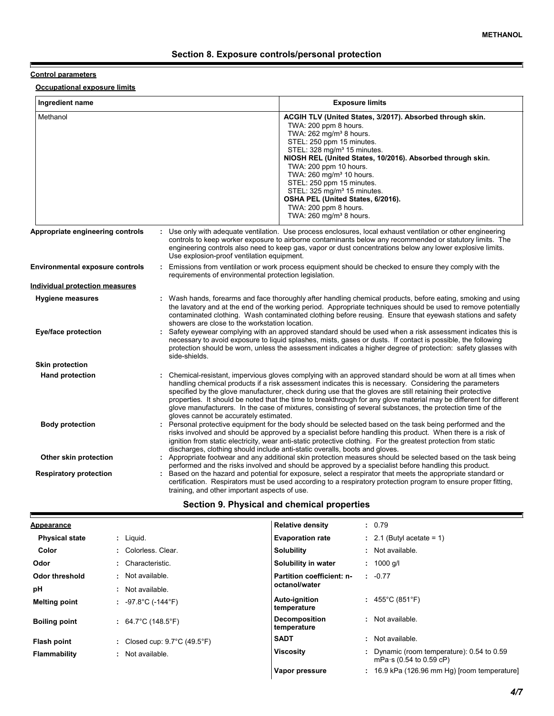## **Section 8. Exposure controls/personal protection**

### **Control parameters**

E

Ţ

**Occupational exposure limits**

| Ingredient name                                       | <b>Exposure limits</b>                                                                                                                                                                                                                                                                                                                                                                                                                                                                                                                                                                                                                                                                                                                                         |  |  |
|-------------------------------------------------------|----------------------------------------------------------------------------------------------------------------------------------------------------------------------------------------------------------------------------------------------------------------------------------------------------------------------------------------------------------------------------------------------------------------------------------------------------------------------------------------------------------------------------------------------------------------------------------------------------------------------------------------------------------------------------------------------------------------------------------------------------------------|--|--|
| Methanol                                              | ACGIH TLV (United States, 3/2017). Absorbed through skin.<br>TWA: 200 ppm 8 hours.<br>TWA: 262 mg/m <sup>3</sup> 8 hours.<br>STEL: 250 ppm 15 minutes.<br>STEL: 328 mg/m <sup>3</sup> 15 minutes.<br>NIOSH REL (United States, 10/2016). Absorbed through skin.<br>TWA: 200 ppm 10 hours.<br>TWA: 260 mg/m <sup>3</sup> 10 hours.<br>STEL: 250 ppm 15 minutes.<br>STEL: 325 mg/m <sup>3</sup> 15 minutes.<br>OSHA PEL (United States, 6/2016).<br>TWA: 200 ppm 8 hours.<br>TWA: 260 mg/m <sup>3</sup> 8 hours.                                                                                                                                                                                                                                                 |  |  |
| Appropriate engineering controls                      | : Use only with adequate ventilation. Use process enclosures, local exhaust ventilation or other engineering<br>controls to keep worker exposure to airborne contaminants below any recommended or statutory limits. The<br>engineering controls also need to keep gas, vapor or dust concentrations below any lower explosive limits.<br>Use explosion-proof ventilation equipment.                                                                                                                                                                                                                                                                                                                                                                           |  |  |
| <b>Environmental exposure controls</b>                | : Emissions from ventilation or work process equipment should be checked to ensure they comply with the<br>requirements of environmental protection legislation.                                                                                                                                                                                                                                                                                                                                                                                                                                                                                                                                                                                               |  |  |
| <b>Individual protection measures</b>                 |                                                                                                                                                                                                                                                                                                                                                                                                                                                                                                                                                                                                                                                                                                                                                                |  |  |
| <b>Hygiene measures</b><br><b>Eye/face protection</b> | : Wash hands, forearms and face thoroughly after handling chemical products, before eating, smoking and using<br>the lavatory and at the end of the working period. Appropriate techniques should be used to remove potentially<br>contaminated clothing. Wash contaminated clothing before reusing. Ensure that eyewash stations and safety<br>showers are close to the workstation location.<br>Safety eyewear complying with an approved standard should be used when a risk assessment indicates this is<br>necessary to avoid exposure to liquid splashes, mists, gases or dusts. If contact is possible, the following<br>protection should be worn, unless the assessment indicates a higher degree of protection: safety glasses with<br>side-shields. |  |  |
| <b>Skin protection</b>                                |                                                                                                                                                                                                                                                                                                                                                                                                                                                                                                                                                                                                                                                                                                                                                                |  |  |
| <b>Hand protection</b>                                | : Chemical-resistant, impervious gloves complying with an approved standard should be worn at all times when<br>handling chemical products if a risk assessment indicates this is necessary. Considering the parameters<br>specified by the glove manufacturer, check during use that the gloves are still retaining their protective<br>properties. It should be noted that the time to breakthrough for any glove material may be different for different<br>glove manufacturers. In the case of mixtures, consisting of several substances, the protection time of the<br>gloves cannot be accurately estimated.                                                                                                                                            |  |  |
| <b>Body protection</b>                                | : Personal protective equipment for the body should be selected based on the task being performed and the<br>risks involved and should be approved by a specialist before handling this product. When there is a risk of<br>ignition from static electricity, wear anti-static protective clothing. For the greatest protection from static<br>discharges, clothing should include anti-static overalls, boots and gloves.                                                                                                                                                                                                                                                                                                                                     |  |  |
| Other skin protection                                 | : Appropriate footwear and any additional skin protection measures should be selected based on the task being<br>performed and the risks involved and should be approved by a specialist before handling this product.                                                                                                                                                                                                                                                                                                                                                                                                                                                                                                                                         |  |  |
| <b>Respiratory protection</b>                         | : Based on the hazard and potential for exposure, select a respirator that meets the appropriate standard or<br>certification. Respirators must be used according to a respiratory protection program to ensure proper fitting,<br>training, and other important aspects of use.                                                                                                                                                                                                                                                                                                                                                                                                                                                                               |  |  |

# **Section 9. Physical and chemical properties**

| <b>Appearance</b>     |                                                   | <b>Relative density</b>             | : 0.79                                                                            |
|-----------------------|---------------------------------------------------|-------------------------------------|-----------------------------------------------------------------------------------|
| <b>Physical state</b> | : Liguid.                                         | <b>Evaporation rate</b>             | $\therefore$ 2.1 (Butyl acetate = 1)                                              |
| Color                 | : Colorless. Clear.                               | <b>Solubility</b>                   | : Not available.                                                                  |
| Odor                  | : Characteristic.                                 | Solubility in water                 | $: 1000$ g/l                                                                      |
| Odor threshold        | Not available.                                    | Partition coefficient: n-           | $: -0.77$                                                                         |
| рH                    | Not available.                                    | octanol/water                       |                                                                                   |
| <b>Melting point</b>  | : $-97.8^{\circ}$ C ( $-144^{\circ}$ F)           | Auto-ignition<br>temperature        | : $455^{\circ}$ C (851 $^{\circ}$ F)                                              |
| <b>Boiling point</b>  | : $64.7^{\circ}$ C (148.5 $^{\circ}$ F)           | <b>Decomposition</b><br>temperature | : Not available.                                                                  |
| <b>Flash point</b>    | : Closed cup: $9.7^{\circ}$ C (49.5 $^{\circ}$ F) | <b>SADT</b>                         | Not available.<br>÷.                                                              |
| Flammability          | Not available.                                    | <b>Viscosity</b>                    | : Dynamic (room temperature): $0.54$ to $0.59$<br>mPa $\cdot$ s (0.54 to 0.59 cP) |
|                       |                                                   | Vapor pressure                      | $: 16.9$ kPa (126.96 mm Hg) [room temperature]                                    |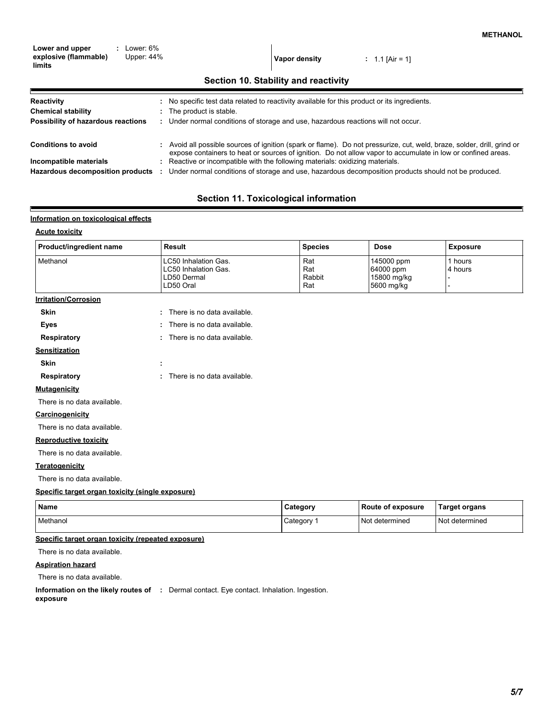| Lower and upper<br>explosive (flammable)<br>limits | Lower: 6%<br>Upper: 44% | Vapor density | : $1.1$ [Air = 1] |
|----------------------------------------------------|-------------------------|---------------|-------------------|
|                                                    |                         |               |                   |

| Section 10. Stability and reactivity |  |  |
|--------------------------------------|--|--|
|--------------------------------------|--|--|

| Reactivity                         | : No specific test data related to reactivity available for this product or its ingredients.                                                                                                                                            |
|------------------------------------|-----------------------------------------------------------------------------------------------------------------------------------------------------------------------------------------------------------------------------------------|
| <b>Chemical stability</b>          | : The product is stable.                                                                                                                                                                                                                |
| Possibility of hazardous reactions | : Under normal conditions of storage and use, hazardous reactions will not occur.                                                                                                                                                       |
| <b>Conditions to avoid</b>         | : Avoid all possible sources of ignition (spark or flame). Do not pressurize, cut, weld, braze, solder, drill, grind or<br>expose containers to heat or sources of ignition. Do not allow vapor to accumulate in low or confined areas. |
| Incompatible materials             | : Reactive or incompatible with the following materials: oxidizing materials.                                                                                                                                                           |
| Hazardous decomposition products   | Under normal conditions of storage and use, hazardous decomposition products should not be produced.                                                                                                                                    |
|                                    |                                                                                                                                                                                                                                         |

## **Section 11. Toxicological information**

## **Information on toxicological effects**

### **Acute toxicity**

E

| Product/ingredient name                          | <b>Result</b>                                                            | <b>Species</b>              | <b>Dose</b>                                          | <b>Exposure</b>    |
|--------------------------------------------------|--------------------------------------------------------------------------|-----------------------------|------------------------------------------------------|--------------------|
| Methanol                                         | LC50 Inhalation Gas.<br>LC50 Inhalation Gas.<br>LD50 Dermal<br>LD50 Oral | Rat<br>Rat<br>Rabbit<br>Rat | 145000 ppm<br>64000 ppm<br>15800 mg/kg<br>5600 mg/kg | 1 hours<br>4 hours |
| <b>Irritation/Corrosion</b>                      |                                                                          |                             |                                                      |                    |
| <b>Skin</b>                                      | : There is no data available.                                            |                             |                                                      |                    |
| <b>Eyes</b>                                      | : There is no data available.                                            |                             |                                                      |                    |
| <b>Respiratory</b>                               | : There is no data available.                                            |                             |                                                      |                    |
| <b>Sensitization</b>                             |                                                                          |                             |                                                      |                    |
| <b>Skin</b>                                      | ÷                                                                        |                             |                                                      |                    |
| Respiratory                                      | : There is no data available.                                            |                             |                                                      |                    |
| <b>Mutagenicity</b>                              |                                                                          |                             |                                                      |                    |
| There is no data available.                      |                                                                          |                             |                                                      |                    |
| Carcinogenicity                                  |                                                                          |                             |                                                      |                    |
| There is no data available.                      |                                                                          |                             |                                                      |                    |
| <b>Reproductive toxicity</b>                     |                                                                          |                             |                                                      |                    |
| There is no data available.                      |                                                                          |                             |                                                      |                    |
| <b>Teratogenicity</b>                            |                                                                          |                             |                                                      |                    |
| There is no data available.                      |                                                                          |                             |                                                      |                    |
| Specific target organ toxicity (single exposure) |                                                                          |                             |                                                      |                    |

| Name     | Categorv | l Route of exposure | Target organs     |
|----------|----------|---------------------|-------------------|
| Methanol | ∵ategor  | : Not<br>determined | Not<br>determined |

### **Specific target organ toxicity (repeated exposure)**

There is no data available.

### **Aspiration hazard**

There is no data available.

**Information on the likely routes of :** Dermal contact. Eye contact. Inhalation. Ingestion.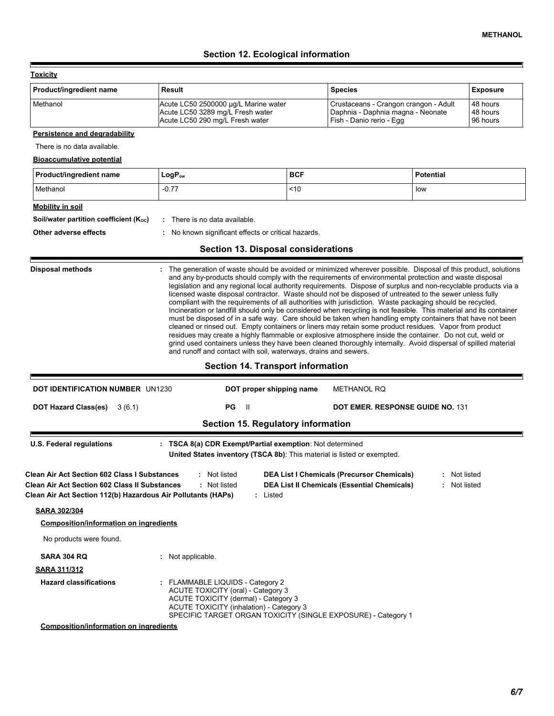# **Section 12. Ecological information**

r

| <b>Toxicity</b>                                                                                                                                                      |                                                                                                                                                                                                                                                                                                                                                                                                                                                                                                                                                                                                                                                                                                                                                                                                                                                                                                         |            |                                                                                                         |                              |                                  |
|----------------------------------------------------------------------------------------------------------------------------------------------------------------------|---------------------------------------------------------------------------------------------------------------------------------------------------------------------------------------------------------------------------------------------------------------------------------------------------------------------------------------------------------------------------------------------------------------------------------------------------------------------------------------------------------------------------------------------------------------------------------------------------------------------------------------------------------------------------------------------------------------------------------------------------------------------------------------------------------------------------------------------------------------------------------------------------------|------------|---------------------------------------------------------------------------------------------------------|------------------------------|----------------------------------|
| Product/ingredient name                                                                                                                                              | Result<br>Acute LC50 2500000 µg/L Marine water<br>Acute LC50 3289 mg/L Fresh water<br>Acute LC50 290 mg/L Fresh water                                                                                                                                                                                                                                                                                                                                                                                                                                                                                                                                                                                                                                                                                                                                                                                   |            | <b>Species</b>                                                                                          |                              | <b>Exposure</b>                  |
| Methanol                                                                                                                                                             |                                                                                                                                                                                                                                                                                                                                                                                                                                                                                                                                                                                                                                                                                                                                                                                                                                                                                                         |            | Crustaceans - Crangon crangon - Adult<br>Daphnia - Daphnia magna - Neonate<br>Fish - Danio rerio - Egg  |                              | 48 hours<br>48 hours<br>96 hours |
| Persistence and degradability                                                                                                                                        |                                                                                                                                                                                                                                                                                                                                                                                                                                                                                                                                                                                                                                                                                                                                                                                                                                                                                                         |            |                                                                                                         |                              |                                  |
| There is no data available.                                                                                                                                          |                                                                                                                                                                                                                                                                                                                                                                                                                                                                                                                                                                                                                                                                                                                                                                                                                                                                                                         |            |                                                                                                         |                              |                                  |
| <b>Bioaccumulative potential</b>                                                                                                                                     |                                                                                                                                                                                                                                                                                                                                                                                                                                                                                                                                                                                                                                                                                                                                                                                                                                                                                                         |            |                                                                                                         |                              |                                  |
| Product/ingredient name                                                                                                                                              | LogP <sub>ow</sub>                                                                                                                                                                                                                                                                                                                                                                                                                                                                                                                                                                                                                                                                                                                                                                                                                                                                                      | <b>BCF</b> |                                                                                                         | <b>Potential</b>             |                                  |
| Methanol                                                                                                                                                             | $-0.77$                                                                                                                                                                                                                                                                                                                                                                                                                                                                                                                                                                                                                                                                                                                                                                                                                                                                                                 | ~10        |                                                                                                         | low                          |                                  |
| <b>Mobility in soil</b>                                                                                                                                              |                                                                                                                                                                                                                                                                                                                                                                                                                                                                                                                                                                                                                                                                                                                                                                                                                                                                                                         |            |                                                                                                         |                              |                                  |
| Soil/water partition coefficient (Koc)                                                                                                                               | : There is no data available.                                                                                                                                                                                                                                                                                                                                                                                                                                                                                                                                                                                                                                                                                                                                                                                                                                                                           |            |                                                                                                         |                              |                                  |
| Other adverse effects                                                                                                                                                | : No known significant effects or critical hazards.                                                                                                                                                                                                                                                                                                                                                                                                                                                                                                                                                                                                                                                                                                                                                                                                                                                     |            |                                                                                                         |                              |                                  |
|                                                                                                                                                                      | <b>Section 13. Disposal considerations</b>                                                                                                                                                                                                                                                                                                                                                                                                                                                                                                                                                                                                                                                                                                                                                                                                                                                              |            |                                                                                                         |                              |                                  |
|                                                                                                                                                                      | licensed waste disposal contractor. Waste should not be disposed of untreated to the sewer unless fully<br>compliant with the requirements of all authorities with jurisdiction. Waste packaging should be recycled.<br>Incineration or landfill should only be considered when recycling is not feasible. This material and its container<br>must be disposed of in a safe way. Care should be taken when handling empty containers that have not been<br>cleaned or rinsed out. Empty containers or liners may retain some product residues. Vapor from product<br>residues may create a highly flammable or explosive atmosphere inside the container. Do not cut, weld or<br>grind used containers unless they have been cleaned thoroughly internally. Avoid dispersal of spilled material<br>and runoff and contact with soil, waterways, drains and sewers.<br>Section 14. Transport information |            |                                                                                                         |                              |                                  |
| <b>DOT IDENTIFICATION NUMBER UN1230</b>                                                                                                                              | DOT proper shipping name                                                                                                                                                                                                                                                                                                                                                                                                                                                                                                                                                                                                                                                                                                                                                                                                                                                                                |            | <b>METHANOL RQ</b>                                                                                      |                              |                                  |
| <b>DOT Hazard Class(es)</b><br>3(6.1)                                                                                                                                | <b>PG</b><br>$\mathbf{H}$                                                                                                                                                                                                                                                                                                                                                                                                                                                                                                                                                                                                                                                                                                                                                                                                                                                                               |            | <b>DOT EMER. RESPONSE GUIDE NO. 131</b>                                                                 |                              |                                  |
|                                                                                                                                                                      | <b>Section 15. Regulatory information</b>                                                                                                                                                                                                                                                                                                                                                                                                                                                                                                                                                                                                                                                                                                                                                                                                                                                               |            |                                                                                                         |                              |                                  |
| <b>U.S. Federal regulations</b>                                                                                                                                      | : TSCA 8(a) CDR Exempt/Partial exemption: Not determined<br>United States inventory (TSCA 8b): This material is listed or exempted.                                                                                                                                                                                                                                                                                                                                                                                                                                                                                                                                                                                                                                                                                                                                                                     |            |                                                                                                         |                              |                                  |
| Clean Air Act Section 602 Class I Substances<br><b>Clean Air Act Section 602 Class II Substances</b><br>Clean Air Act Section 112(b) Hazardous Air Pollutants (HAPs) | : Not listed<br>: Not listed<br>: Listed                                                                                                                                                                                                                                                                                                                                                                                                                                                                                                                                                                                                                                                                                                                                                                                                                                                                |            | <b>DEA List I Chemicals (Precursor Chemicals)</b><br><b>DEA List II Chemicals (Essential Chemicals)</b> | : Not listed<br>: Not listed |                                  |
| <b>SARA 302/304</b>                                                                                                                                                  |                                                                                                                                                                                                                                                                                                                                                                                                                                                                                                                                                                                                                                                                                                                                                                                                                                                                                                         |            |                                                                                                         |                              |                                  |
| <b>Composition/information on ingredients</b>                                                                                                                        |                                                                                                                                                                                                                                                                                                                                                                                                                                                                                                                                                                                                                                                                                                                                                                                                                                                                                                         |            |                                                                                                         |                              |                                  |
| No products were found.                                                                                                                                              |                                                                                                                                                                                                                                                                                                                                                                                                                                                                                                                                                                                                                                                                                                                                                                                                                                                                                                         |            |                                                                                                         |                              |                                  |
| SARA 304 RQ                                                                                                                                                          | : Not applicable.                                                                                                                                                                                                                                                                                                                                                                                                                                                                                                                                                                                                                                                                                                                                                                                                                                                                                       |            |                                                                                                         |                              |                                  |
| <b>SARA 311/312</b>                                                                                                                                                  |                                                                                                                                                                                                                                                                                                                                                                                                                                                                                                                                                                                                                                                                                                                                                                                                                                                                                                         |            |                                                                                                         |                              |                                  |
| <b>Hazard classifications</b>                                                                                                                                        | : FLAMMABLE LIQUIDS - Category 2<br>ACUTE TOXICITY (oral) - Category 3<br>ACUTE TOXICITY (dermal) - Category 3<br>ACUTE TOXICITY (inhalation) - Category 3<br>SPECIFIC TARGET ORGAN TOXICITY (SINGLE EXPOSURE) - Category 1                                                                                                                                                                                                                                                                                                                                                                                                                                                                                                                                                                                                                                                                             |            |                                                                                                         |                              |                                  |
| <b>Composition/information on ingredients</b>                                                                                                                        |                                                                                                                                                                                                                                                                                                                                                                                                                                                                                                                                                                                                                                                                                                                                                                                                                                                                                                         |            |                                                                                                         |                              |                                  |